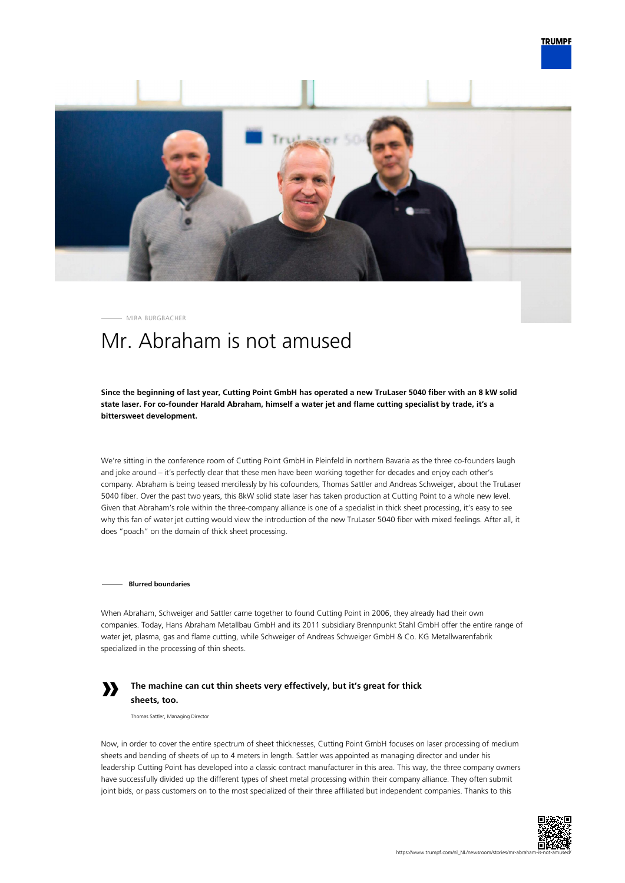

MIRA BURGBACHER

# Mr. Abraham is not amused

**Since the beginning of last year, Cutting Point GmbH has operated a new TruLaser 5040 fiber with an 8 kW solid state laser. For co-founder Harald Abraham, himself a water jet and flame cutting specialist by trade, it's a bittersweet development.**

We're sitting in the conference room of Cutting Point GmbH in Pleinfeld in northern Bavaria as the three co-founders laugh and joke around – it's perfectly clear that these men have been working together for decades and enjoy each other's company. Abraham is being teased mercilessly by his cofounders, Thomas Sattler and Andreas Schweiger, about the TruLaser 5040 fiber. Over the past two years, this 8kW solid state laser has taken production at Cutting Point to a whole new level. Given that Abraham's role within the three-company alliance is one of a specialist in thick sheet processing, it's easy to see why this fan of water jet cutting would view the introduction of the new TruLaser 5040 fiber with mixed feelings. After all, it does "poach" on the domain of thick sheet processing.

**Blurred boundaries**

When Abraham, Schweiger and Sattler came together to found Cutting Point in 2006, they already had their own companies. Today, Hans Abraham Metallbau GmbH and its 2011 subsidiary Brennpunkt Stahl GmbH offer the entire range of water jet, plasma, gas and flame cutting, while Schweiger of Andreas Schweiger GmbH & Co. KG Metallwarenfabrik specialized in the processing of thin sheets.

## **»**

## **The machine can cut thin sheets very effectively, but it's great for thick sheets, too.**

Thomas Sattler, Managing Director

Now, in order to cover the entire spectrum of sheet thicknesses, Cutting Point GmbH focuses on laser processing of medium sheets and bending of sheets of up to 4 meters in length. Sattler was appointed as managing director and under his leadership Cutting Point has developed into a classic contract manufacturer in this area. This way, the three company owners have successfully divided up the different types of sheet metal processing within their company alliance. They often submit joint bids, or pass customers on to the most specialized of their three affiliated but independent companies. Thanks to this

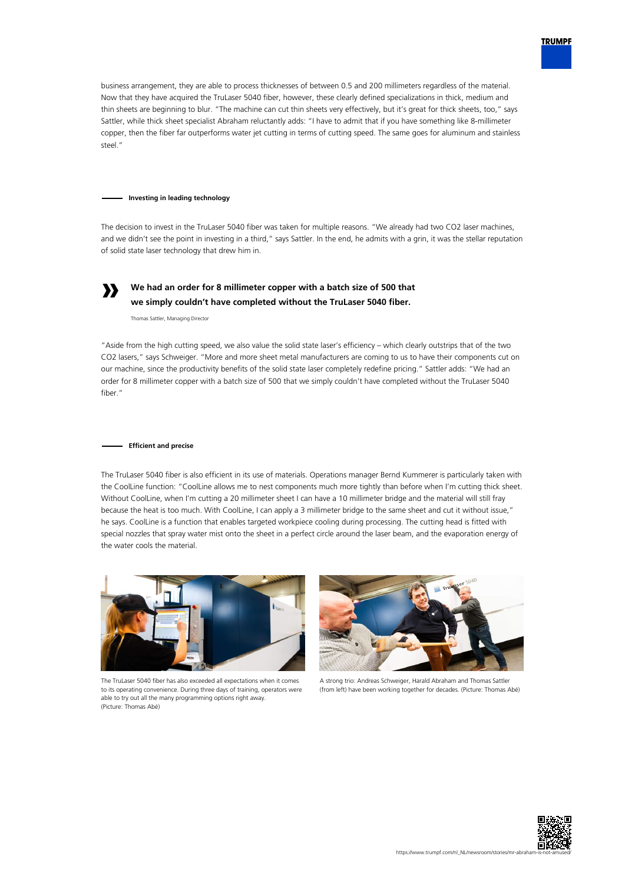

business arrangement, they are able to process thicknesses of between 0.5 and 200 millimeters regardless of the material. Now that they have acquired the TruLaser 5040 fiber, however, these clearly defined specializations in thick, medium and thin sheets are beginning to blur. "The machine can cut thin sheets very effectively, but it's great for thick sheets, too," says Sattler, while thick sheet specialist Abraham reluctantly adds: "I have to admit that if you have something like 8-millimeter copper, then the fiber far outperforms water jet cutting in terms of cutting speed. The same goes for aluminum and stainless steel."

#### **Investing in leading technology**

The decision to invest in the TruLaser 5040 fiber was taken for multiple reasons. "We already had two CO2 laser machines, and we didn't see the point in investing in a third," says Sattler. In the end, he admits with a grin, it was the stellar reputation of solid state laser technology that drew him in.



## **We had an order for 8 millimeter copper with a batch size of 500 that we simply couldn't have completed without the TruLaser 5040 fiber.**

Thomas Sattler, Managing Director

"Aside from the high cutting speed, we also value the solid state laser's efficiency – which clearly outstrips that of the two CO2 lasers," says Schweiger. "More and more sheet metal manufacturers are coming to us to have their components cut on our machine, since the productivity benefits of the solid state laser completely redefine pricing." Sattler adds: "We had an order for 8 millimeter copper with a batch size of 500 that we simply couldn't have completed without the TruLaser 5040 fiber."

#### **Efficient and precise**

The TruLaser 5040 fiber is also efficient in its use of materials. Operations manager Bernd Kummerer is particularly taken with the CoolLine function: "CoolLine allows me to nest components much more tightly than before when I'm cutting thick sheet. Without CoolLine, when I'm cutting a 20 millimeter sheet I can have a 10 millimeter bridge and the material will still fray because the heat is too much. With CoolLine, I can apply a 3 millimeter bridge to the same sheet and cut it without issue," he says. CoolLine is a function that enables targeted workpiece cooling during processing. The cutting head is fitted with special nozzles that spray water mist onto the sheet in a perfect circle around the laser beam, and the evaporation energy of the water cools the material.



The TruLaser 5040 fiber has also exceeded all expectations when it comes to its operating convenience. During three days of training, operators were able to try out all the many programming options right away (Picture: Thomas Abé)



A strong trio: Andreas Schweiger, Harald Abraham and Thomas Sattler (from left) have been working together for decades. (Picture: Thomas Abé)